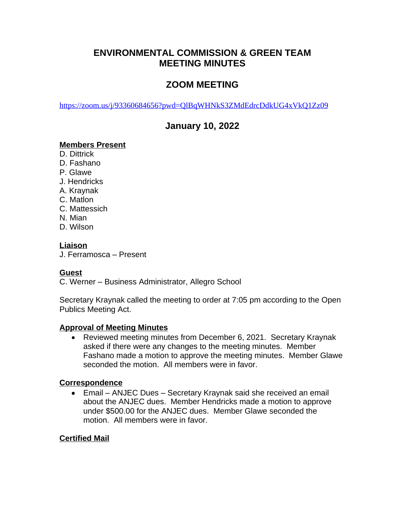# **ENVIRONMENTAL COMMISSION & GREEN TEAM MEETING MINUTES**

# **ZOOM MEETING**

<https://zoom.us/j/93360684656?pwd=QlBqWHNkS3ZMdEdrcDdkUG4xVkQ1Zz09>

# **January 10, 2022**

## **Members Present**

- D. Dittrick
- D. Fashano
- P. Glawe
- J. Hendricks
- A. Kraynak
- C. Matlon
- C. Mattessich
- N. Mian
- D. Wilson

### **Liaison**

J. Ferramosca – Present

## **Guest**

C. Werner – Business Administrator, Allegro School

Secretary Kraynak called the meeting to order at 7:05 pm according to the Open Publics Meeting Act.

#### **Approval of Meeting Minutes**

 Reviewed meeting minutes from December 6, 2021. Secretary Kraynak asked if there were any changes to the meeting minutes. Member Fashano made a motion to approve the meeting minutes. Member Glawe seconded the motion. All members were in favor.

#### **Correspondence**

 Email – ANJEC Dues – Secretary Kraynak said she received an email about the ANJEC dues. Member Hendricks made a motion to approve under \$500.00 for the ANJEC dues. Member Glawe seconded the motion. All members were in favor.

## **Certified Mail**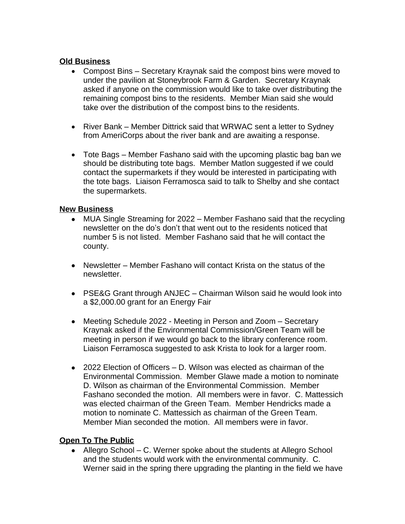### **Old Business**

- Compost Bins Secretary Kraynak said the compost bins were moved to under the pavilion at Stoneybrook Farm & Garden. Secretary Kraynak asked if anyone on the commission would like to take over distributing the remaining compost bins to the residents. Member Mian said she would take over the distribution of the compost bins to the residents.
- River Bank Member Dittrick said that WRWAC sent a letter to Sydney from AmeriCorps about the river bank and are awaiting a response.
- Tote Bags Member Fashano said with the upcoming plastic bag ban we should be distributing tote bags. Member Matlon suggested if we could contact the supermarkets if they would be interested in participating with the tote bags. Liaison Ferramosca said to talk to Shelby and she contact the supermarkets.

### **New Business**

- MUA Single Streaming for 2022 Member Fashano said that the recycling newsletter on the do's don't that went out to the residents noticed that number 5 is not listed. Member Fashano said that he will contact the county.
- Newsletter Member Fashano will contact Krista on the status of the newsletter.
- PSE&G Grant through ANJEC Chairman Wilson said he would look into a \$2,000.00 grant for an Energy Fair
- Meeting Schedule 2022 Meeting in Person and Zoom Secretary Kraynak asked if the Environmental Commission/Green Team will be meeting in person if we would go back to the library conference room. Liaison Ferramosca suggested to ask Krista to look for a larger room.
- 2022 Election of Officers D. Wilson was elected as chairman of the Environmental Commission. Member Glawe made a motion to nominate D. Wilson as chairman of the Environmental Commission. Member Fashano seconded the motion. All members were in favor. C. Mattessich was elected chairman of the Green Team. Member Hendricks made a motion to nominate C. Mattessich as chairman of the Green Team. Member Mian seconded the motion. All members were in favor.

## **Open To The Public**

 Allegro School – C. Werner spoke about the students at Allegro School and the students would work with the environmental community. C. Werner said in the spring there upgrading the planting in the field we have